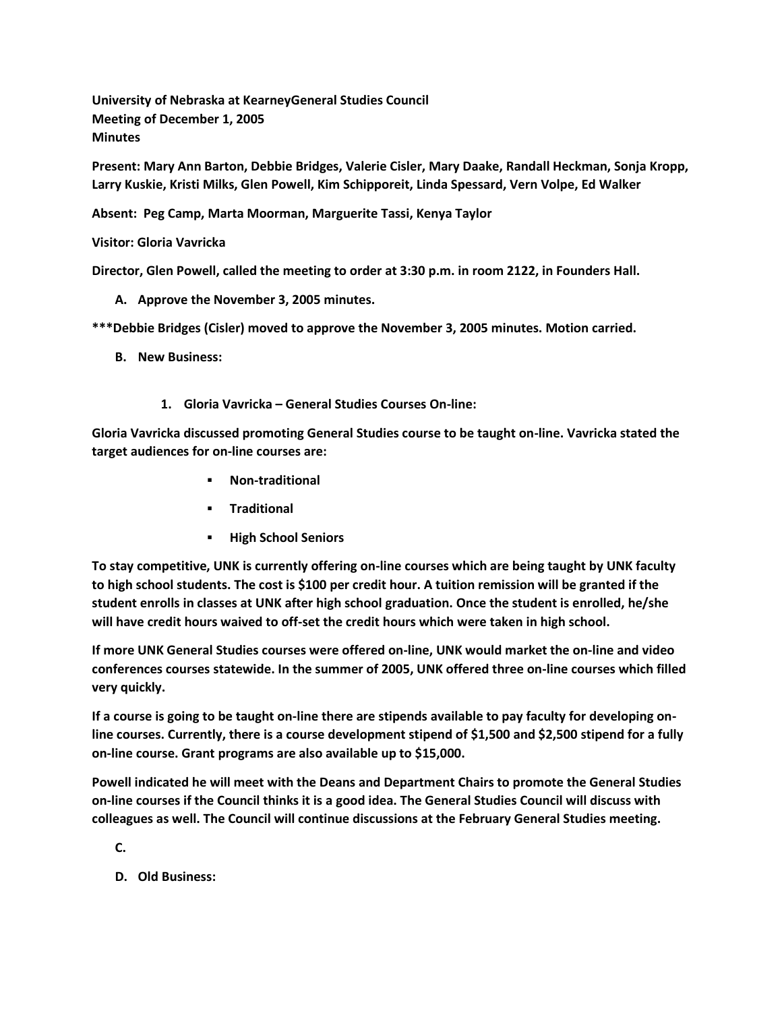**University of Nebraska at KearneyGeneral Studies Council Meeting of December 1, 2005 Minutes**

**Present: Mary Ann Barton, Debbie Bridges, Valerie Cisler, Mary Daake, Randall Heckman, Sonja Kropp, Larry Kuskie, Kristi Milks, Glen Powell, Kim Schipporeit, Linda Spessard, Vern Volpe, Ed Walker**

**Absent: Peg Camp, Marta Moorman, Marguerite Tassi, Kenya Taylor**

**Visitor: Gloria Vavricka**

**Director, Glen Powell, called the meeting to order at 3:30 p.m. in room 2122, in Founders Hall.**

- **A. Approve the November 3, 2005 minutes.**
- **\*\*\*Debbie Bridges (Cisler) moved to approve the November 3, 2005 minutes. Motion carried.**
	- **B. New Business:**
		- **1. Gloria Vavricka – General Studies Courses On-line:**

**Gloria Vavricka discussed promoting General Studies course to be taught on-line. Vavricka stated the target audiences for on-line courses are:**

- **Non-traditional**
- **Traditional**
- **High School Seniors**

**To stay competitive, UNK is currently offering on-line courses which are being taught by UNK faculty to high school students. The cost is \$100 per credit hour. A tuition remission will be granted if the student enrolls in classes at UNK after high school graduation. Once the student is enrolled, he/she will have credit hours waived to off-set the credit hours which were taken in high school.**

**If more UNK General Studies courses were offered on-line, UNK would market the on-line and video conferences courses statewide. In the summer of 2005, UNK offered three on-line courses which filled very quickly.**

**If a course is going to be taught on-line there are stipends available to pay faculty for developing online courses. Currently, there is a course development stipend of \$1,500 and \$2,500 stipend for a fully on-line course. Grant programs are also available up to \$15,000.**

**Powell indicated he will meet with the Deans and Department Chairs to promote the General Studies on-line courses if the Council thinks it is a good idea. The General Studies Council will discuss with colleagues as well. The Council will continue discussions at the February General Studies meeting.**

**C.**

**D. Old Business:**